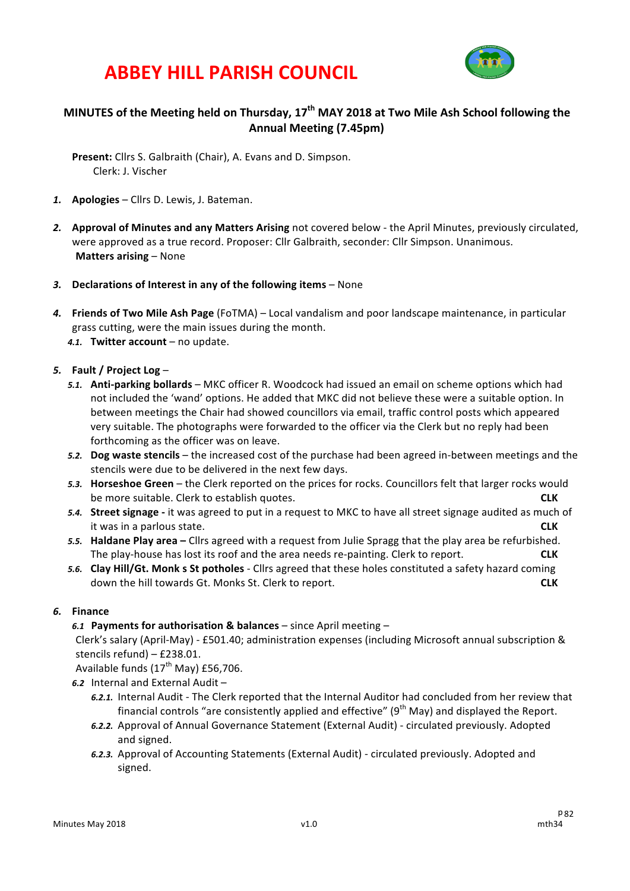



# **MINUTES** of the Meeting held on Thursday, 17<sup>th</sup> MAY 2018 at Two Mile Ash School following the **Annual Meeting (7.45pm)**

**Present:** Cllrs S. Galbraith (Chair), A. Evans and D. Simpson. Clerk: J. Vischer

- 1. **Apologies** Cllrs D. Lewis, J. Bateman.
- **2. Approval of Minutes and any Matters Arising** not covered below the April Minutes, previously circulated, were approved as a true record. Proposer: Cllr Galbraith, seconder: Cllr Simpson. Unanimous. **Matters arising – None**
- 3. **Declarations of Interest in any of the following items** None
- 4. **Friends of Two Mile Ash Page** (FoTMA) Local vandalism and poor landscape maintenance, in particular grass cutting, were the main issues during the month.
	- 4.1. Twitter account no update.

### *5.* **Fault / Project Log** –

- 5.1. **Anti-parking bollards** MKC officer R. Woodcock had issued an email on scheme options which had not included the 'wand' options. He added that MKC did not believe these were a suitable option. In between meetings the Chair had showed councillors via email, traffic control posts which appeared very suitable. The photographs were forwarded to the officer via the Clerk but no reply had been forthcoming as the officer was on leave.
- 5.2. Dog waste stencils the increased cost of the purchase had been agreed in-between meetings and the stencils were due to be delivered in the next few days.
- 5.3. Horseshoe Green the Clerk reported on the prices for rocks. Councillors felt that larger rocks would be more suitable. Clerk to establish quotes. **CLK** and the summary of the summary of the summary of the summary of the summary of the summary of the summary of the summary of the summary of the summary of the summary of th
- 5.4. Street signage it was agreed to put in a request to MKC to have all street signage audited as much of it was in a parlous state. **CLK**
- 5.5. **Haldane Play area** Cllrs agreed with a request from Julie Spragg that the play area be refurbished. The play-house has lost its roof and the area needs re-painting. Clerk to report. **CLK**
- **5.6. Clay Hill/Gt. Monk s St potholes** Cllrs agreed that these holes constituted a safety hazard coming down the hill towards Gt. Monks St. Clerk to report. **CLK**

#### *6.* **Finance**

### *6.1* **Payments for authorisation & balances** – since April meeting –

Clerk's salary (April-May) - £501.40; administration expenses (including Microsoft annual subscription & stencils  $refund$ ) – £238.01.

Available funds  $(17<sup>th</sup>$  May) £56,706.

- 6.2 Internal and External Audit -
	- 6.2.1. Internal Audit The Clerk reported that the Internal Auditor had concluded from her review that financial controls "are consistently applied and effective" ( $9<sup>th</sup>$  May) and displayed the Report.
	- 6.2.2. Approval of Annual Governance Statement (External Audit) circulated previously. Adopted and signed.
	- 6.2.3. Approval of Accounting Statements (External Audit) circulated previously. Adopted and signed.